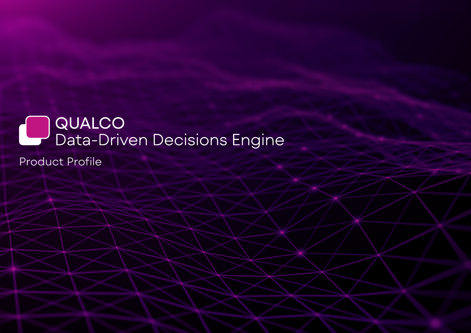# ) QUALCO<br>Data-Driven Decisions Engine L Product Profile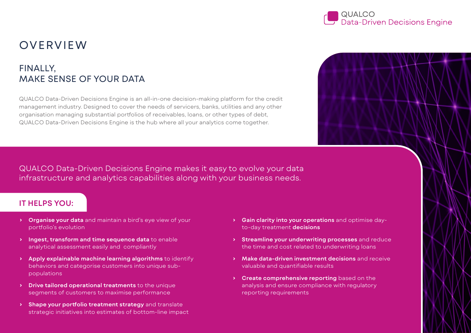

## OVERVIEW

## FINALLY, MAKE SENSE OF YOUR DATA

QUALCO Data-Driven Decisions Engine is an all-in-one decision-making platform for the credit management industry. Designed to cover the needs of servicers, banks, utilities and any other organisation managing substantial portfolios of receivables, loans, or other types of debt, QUALCO Data-Driven Decisions Engine is the hub where all your analytics come together.

QUALCO Data-Driven Decisions Engine makes it easy to evolve your data infrastructure and analytics capabilities along with your business needs.

#### **IT HELPS YOU:**

- **› Organise your data** and maintain a bird's eye view of your portfolio's evolution
- **› Ingest, transform and time sequence data** to enable analytical assessment easily and compliantly
- **› Apply explainable machine learning algorithms** to identify behaviors and categorise customers into unique subpopulations
- **› Drive tailored operational treatments** to the unique segments of customers to maximise performance
- **› Shape your portfolio treatment strategy** and translate strategic initiatives into estimates of bottom-line impact
- **› Gain clarity into your operations** and optimise dayto-day treatment **decisions**
- **› Streamline your underwriting processes** and reduce the time and cost related to underwriting loans
- **› Make data-driven investment decisions** and receive valuable and quantifiable results
- **› Create comprehensive reporting** based on the analysis and ensure compliance with regulatory reporting requirements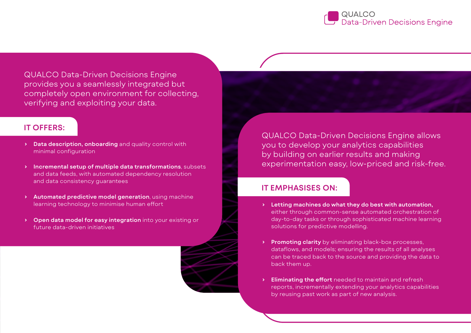

QUALCO Data-Driven Decisions Engine provides you a seamlessly integrated but completely open environment for collecting, verifying and exploiting your data.

### **IT OFFERS:**

- **› Data description, onboarding** and quality control with minimal configuration
- **› Incremental setup of multiple data transformations**, subsets and data feeds, with automated dependency resolution and data consistency guarantees
- **› Automated predictive model generation**, using machine learning technology to minimise human effort
- **› Open data model for easy integration** into your existing or future data-driven initiatives

QUALCO Data-Driven Decisions Engine allows you to develop your analytics capabilities by building on earlier results and making experimentation easy, low-priced and risk-free.

### **IT EMPHASISES ON:**

- **› Letting machines do what they do best with automation,** either through common-sense automated orchestration of day-to-day tasks or through sophisticated machine learning solutions for predictive modelling.
- **› Promoting clarity** by eliminating black-box processes, dataflows, and models; ensuring the results of all analyses can be traced back to the source and providing the data to back them up.
- **› Eliminating the effort** needed to maintain and refresh reports, incrementally extending your analytics capabilities by reusing past work as part of new analysis.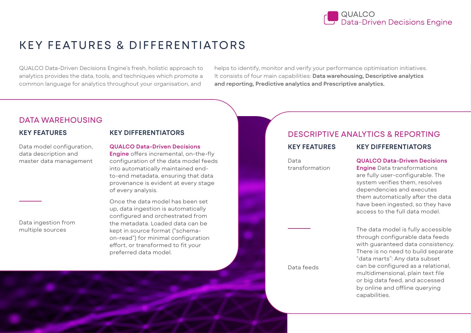

## KEY FEATURES & DIFFERENTIATORS

QUALCO Data-Driven Decisions Engine's fresh, holistic approach to analytics provides the data, tools, and techniques which promote a common language for analytics throughout your organisation, and

helps to identify, monitor and verify your performance optimisation initiatives. It consists of four main capabilities: **Data warehousing, Descriptive analytics and reporting, Predictive analytics and Prescriptive analytics.**

#### DATA WAREHOUSING

#### **KEY FEATURES**

**KEY DIFFERENTIATORS**

Data model configuration, data description and master data management

Data ingestion from multiple sources

**QUALCO Data-Driven Decisions Engine** offers incremental, on-the-fly configuration of the data model feeds into automatically maintained endto-end metadata, ensuring that data provenance is evident at every stage of every analysis.

Once the data model has been set up, data ingestion is automatically configured and orchestrated from the metadata. Loaded data can be kept in source format ("schemaon-read") for minimal configuration effort, or transformed to fit your preferred data model.

### DESCRIPTIVE ANALYTICS & REPORTING

Data transformation

#### **KEY FEATURES KEY DIFFERENTIATORS**

**QUALCO Data-Driven Decisions** 

**Engine** Data transformations are fully user-configurable. The system verifies them, resolves dependencies and executes them automatically after the data have been ingested, so they have access to the full data model.

The data model is fully accessible through configurable data feeds with guaranteed data consistency. There is no need to build separate "data marts": Any data subset can be configured as a relational, multidimensional, plain text file or big data feed, and accessed by online and offline querying capabilities.

Data feeds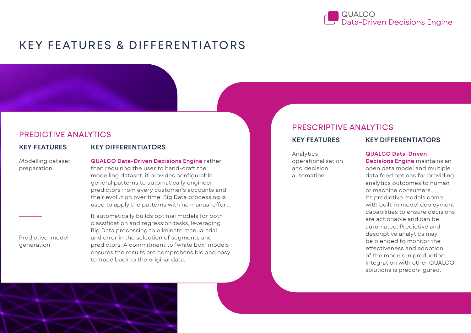

## KEY FEATURES & DIFFERENTIATORS

#### PREDICTIVE ANALYTICS

**KEY FEATURES KEY DIFFERENTIATORS**

Modelling dataset preparation

**QUALCO Data-Driven Decisions Engine** rather than requiring the user to hand-craft the modelling dataset, it provides configurable general patterns to automatically engineer predictors from every customer's accounts and their evolution over time. Big Data processing is used to apply the patterns with no manual effort.

Predictive model generation

It automatically builds optimal models for both classification and regression tasks, leveraging Big Data processing to eliminate manual trial and error in the selection of segments and predictors. A commitment to "white box" models ensures the results are comprehensible and easy to trace back to the original data.

### PRESCRIPTIVE ANALYTICS

Analytics operationalisation and decision automation

#### **KEY FEATURES KEY DIFFERENTIATORS**

#### **QUALCO Data-Driven**

**Decisions Engine** maintains an open data model and multiple data feed options for providing analytics outcomes to human or machine consumers. Its predictive models come with built-in model deployment capabilities to ensure decisions are actionable and can be automated. Predictive and descriptive analytics may be blended to monitor the effectiveness and adoption of the models in production. Integration with other QUALCO solutions is preconfigured.

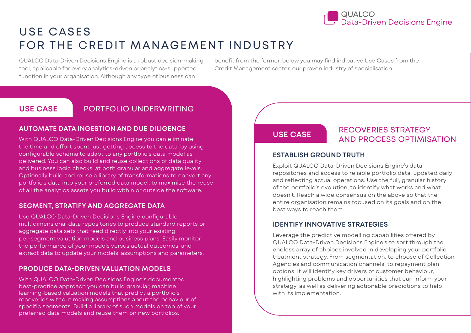

## USE CASES FOR THE CREDIT MANAGEMENT INDUSTRY

QUALCO Data-Driven Decisions Engine is a robust decision-making tool, applicable for every analytics-driven or analytics-supported function in your organisation. Although any type of business can

benefit from the former, below you may find indicative Use Cases from the Credit Management sector, our proven industry of specialisation.

#### **USE CASE** PORTFOLIO UNDERWRITING

#### **AUTOMATE DATA INGESTION AND DUE DILIGENCE**

With QUALCO Data-Driven Decisions Engine you can eliminate the time and effort spent just getting access to the data, by using configurable schema to adapt to any portfolio's data model as delivered. You can also build and reuse collections of data quality and business logic checks, at both granular and aggregate levels. Optionally build and reuse a library of transformations to convert any portfolio's data into your preferred data model, to maximise the reuse of all the analytics assets you build within or outside the software.

#### **SEGMENT, STRATIFY AND AGGREGATE DATA**

Use QUALCO Data-Driven Decisions Engine configurable multidimensional data repositories to produce standard reports or aggregate data sets that feed directly into your existing per-segment valuation models and business plans. Easily monitor the performance of your models versus actual outcomes, and extract data to update your models' assumptions and parameters.

#### **PRODUCE DATA-DRIVEN VALUATION MODELS**

With QUALCO Data-Driven Decisions Engine's documented best-practice approach you can build granular, machine learning-based valuation models that predict a portfolio's recoveries without making assumptions about the behaviour of specific segments. Build a library of such models on top of your preferred data models and reuse them on new portfolios.

### RECOVERIES STRATEGY **USE CASE** AND PROCESS OPTIMISATION

#### **ESTABLISH GROUND TRUTH**

Exploit QUALCO Data-Driven Decisions Engine's data repositories and access to reliable portfolio data, updated daily and reflecting actual operations. Use the full, granular history of the portfolio's evolution, to identify what works and what doesn't. Reach a wide consensus on the above so that the entire organisation remains focused on its goals and on the best ways to reach them.

#### **IDENTIFY INNOVATIVE STRATEGIES**

Leverage the predictive modelling capabilities offered by QUALCO Data-Driven Decisions Engine's to sort through the endless array of choices involved in developing your portfolio treatment strategy. From segmentation, to choose of Collection Agencies and communication channels, to repayment plan options, it will identify key drivers of customer behaviour, highlighting problems and opportunities that can inform your strategy, as well as delivering actionable predictions to help with its implementation.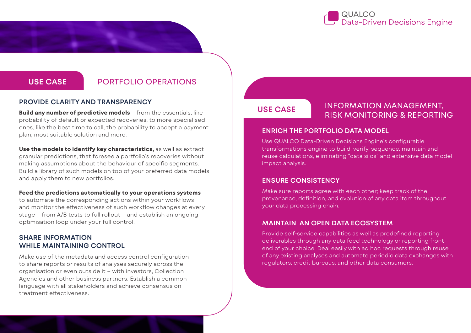

#### **USE CASE** PORTFOLIO OPERATIONS

#### **PROVIDE CLARITY AND TRANSPARENCY**

**Build any number of predictive models** – from the essentials, like probability of default or expected recoveries, to more specialised ones, like the best time to call, the probability to accept a payment plan, most suitable solution and more.

**Use the models to identify key characteristics,** as well as extract granular predictions, that foresee a portfolio's recoveries without making assumptions about the behaviour of specific segments. Build a library of such models on top of your preferred data models and apply them to new portfolios.

#### **Feed the predictions automatically to your operations systems**

to automate the corresponding actions within your workflows and monitor the effectiveness of such workflow changes at every stage – from A/B tests to full rollout – and establish an ongoing optimisation loop under your full control.

#### **SHARE INFORMATION WHILE MAINTAINING CONTROL**

Make use of the metadata and access control configuration to share reports or results of analyses securely across the organisation or even outside it – with investors, Collection Agencies and other business partners. Establish a common language with all stakeholders and achieve consensus on treatment effectiveness.

### **USE CASE**

### INFORMATION MANAGEMENT, RISK MONITORING & REPORTING

#### **ENRICH THE PORTFOLIO DATA MODEL**

Use QUALCO Data-Driven Decisions Engine's configurable transformations engine to build, verify, sequence, maintain and reuse calculations, eliminating "data silos" and extensive data model impact analysis.

#### **ENSURE CONSISTENCY**

Make sure reports agree with each other; keep track of the provenance, definition, and evolution of any data item throughout your data processing chain.

#### **MAINTAIN AN OPEN DATA ECOSYSTEM**

Provide self-service capabilities as well as predefined reporting deliverables through any data feed technology or reporting frontend of your choice. Deal easily with ad hoc requests through reuse of any existing analyses and automate periodic data exchanges with regulators, credit bureaus, and other data consumers.